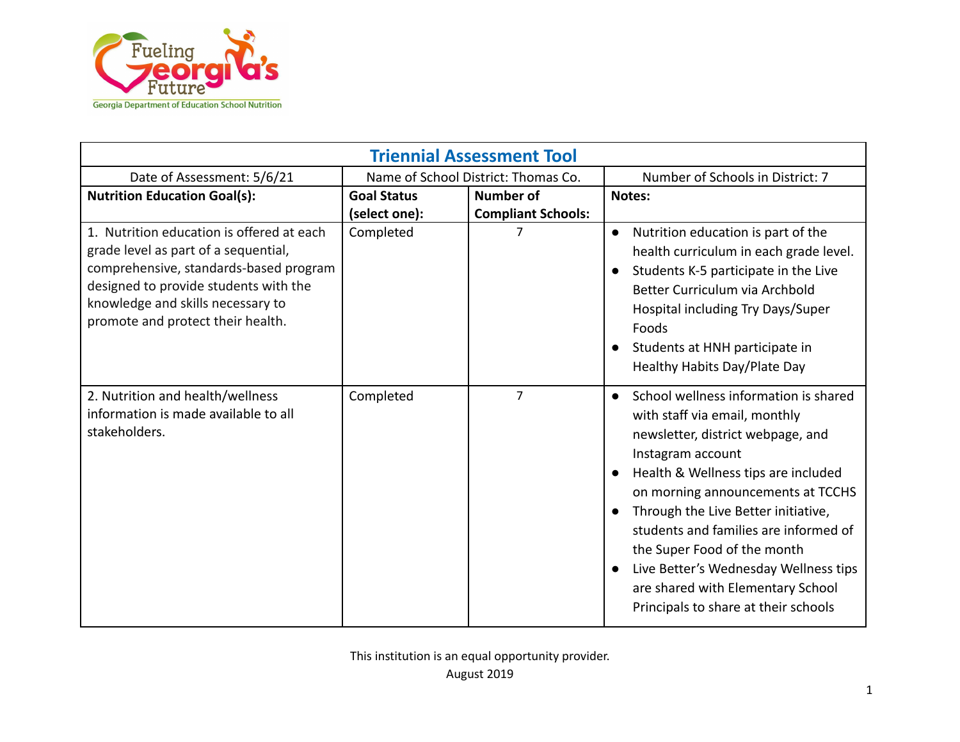

| <b>Triennial Assessment Tool</b>                                                                                                                                                                                                               |                                     |                                               |                                                                                                                                                                                                                                                                                                                                                                                                                                                                             |
|------------------------------------------------------------------------------------------------------------------------------------------------------------------------------------------------------------------------------------------------|-------------------------------------|-----------------------------------------------|-----------------------------------------------------------------------------------------------------------------------------------------------------------------------------------------------------------------------------------------------------------------------------------------------------------------------------------------------------------------------------------------------------------------------------------------------------------------------------|
| Date of Assessment: 5/6/21                                                                                                                                                                                                                     | Name of School District: Thomas Co. |                                               | Number of Schools in District: 7                                                                                                                                                                                                                                                                                                                                                                                                                                            |
| <b>Nutrition Education Goal(s):</b>                                                                                                                                                                                                            | <b>Goal Status</b><br>(select one): | <b>Number of</b><br><b>Compliant Schools:</b> | Notes:                                                                                                                                                                                                                                                                                                                                                                                                                                                                      |
| 1. Nutrition education is offered at each<br>grade level as part of a sequential,<br>comprehensive, standards-based program<br>designed to provide students with the<br>knowledge and skills necessary to<br>promote and protect their health. | Completed                           | 7                                             | Nutrition education is part of the<br>$\bullet$<br>health curriculum in each grade level.<br>Students K-5 participate in the Live<br>Better Curriculum via Archbold<br>Hospital including Try Days/Super<br>Foods<br>Students at HNH participate in<br>Healthy Habits Day/Plate Day                                                                                                                                                                                         |
| 2. Nutrition and health/wellness<br>information is made available to all<br>stakeholders.                                                                                                                                                      | Completed                           | $\overline{7}$                                | School wellness information is shared<br>$\bullet$<br>with staff via email, monthly<br>newsletter, district webpage, and<br>Instagram account<br>Health & Wellness tips are included<br>$\bullet$<br>on morning announcements at TCCHS<br>Through the Live Better initiative,<br>students and families are informed of<br>the Super Food of the month<br>Live Better's Wednesday Wellness tips<br>are shared with Elementary School<br>Principals to share at their schools |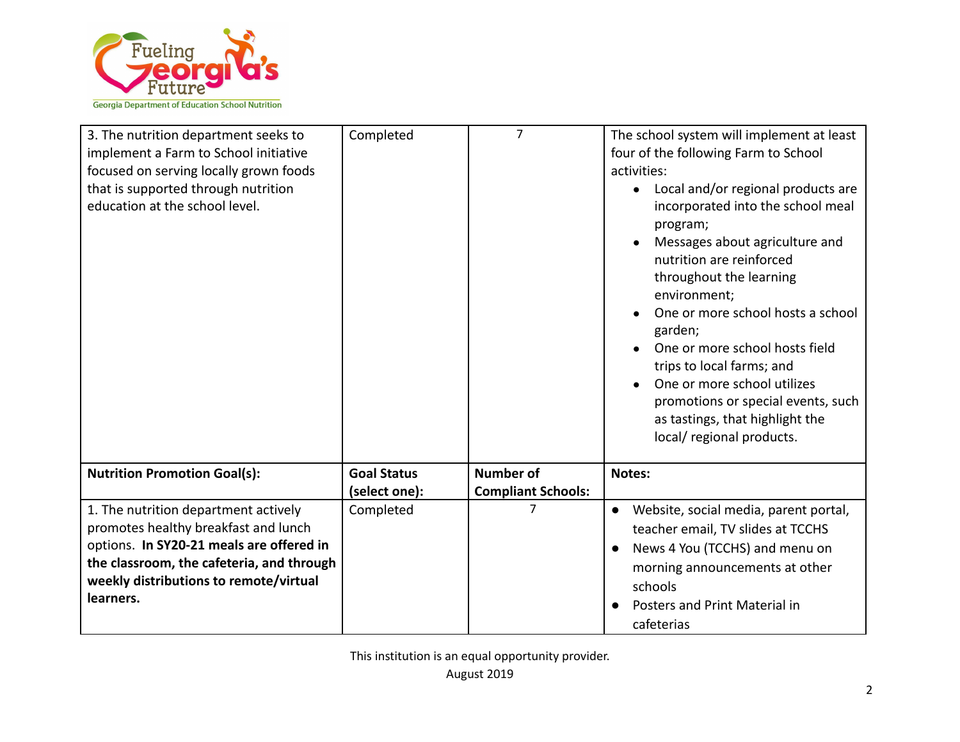

| 3. The nutrition department seeks to<br>implement a Farm to School initiative<br>focused on serving locally grown foods<br>that is supported through nutrition<br>education at the school level.                             | Completed          | $\overline{7}$            | The school system will implement at least<br>four of the following Farm to School<br>activities:<br>Local and/or regional products are<br>$\bullet$<br>incorporated into the school meal<br>program;<br>Messages about agriculture and<br>nutrition are reinforced<br>throughout the learning<br>environment;<br>One or more school hosts a school<br>garden;<br>One or more school hosts field<br>trips to local farms; and<br>One or more school utilizes<br>promotions or special events, such<br>as tastings, that highlight the<br>local/regional products. |
|------------------------------------------------------------------------------------------------------------------------------------------------------------------------------------------------------------------------------|--------------------|---------------------------|------------------------------------------------------------------------------------------------------------------------------------------------------------------------------------------------------------------------------------------------------------------------------------------------------------------------------------------------------------------------------------------------------------------------------------------------------------------------------------------------------------------------------------------------------------------|
| <b>Nutrition Promotion Goal(s):</b>                                                                                                                                                                                          | <b>Goal Status</b> | <b>Number of</b>          | Notes:                                                                                                                                                                                                                                                                                                                                                                                                                                                                                                                                                           |
|                                                                                                                                                                                                                              | (select one):      | <b>Compliant Schools:</b> |                                                                                                                                                                                                                                                                                                                                                                                                                                                                                                                                                                  |
| 1. The nutrition department actively<br>promotes healthy breakfast and lunch<br>options. In SY20-21 meals are offered in<br>the classroom, the cafeteria, and through<br>weekly distributions to remote/virtual<br>learners. | Completed          | 7                         | Website, social media, parent portal,<br>$\bullet$<br>teacher email, TV slides at TCCHS<br>News 4 You (TCCHS) and menu on<br>morning announcements at other<br>schools<br>Posters and Print Material in<br>cafeterias                                                                                                                                                                                                                                                                                                                                            |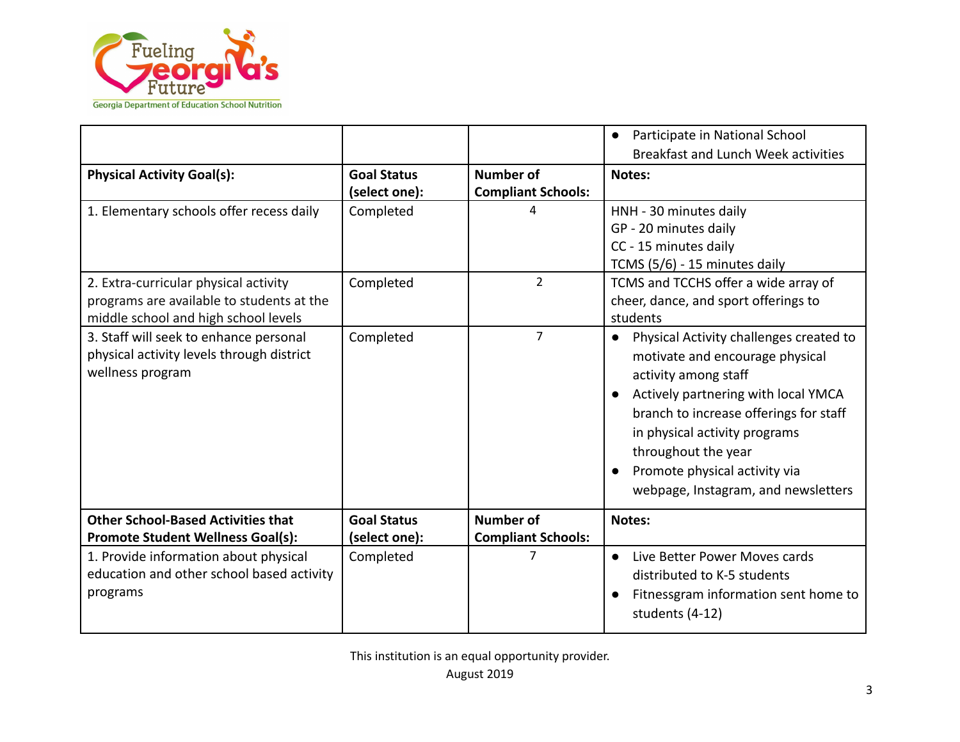

|                                                                                                                            |                                     |                                               | Participate in National School<br>$\bullet$<br><b>Breakfast and Lunch Week activities</b>                                                                                                                                                                                                                                                     |
|----------------------------------------------------------------------------------------------------------------------------|-------------------------------------|-----------------------------------------------|-----------------------------------------------------------------------------------------------------------------------------------------------------------------------------------------------------------------------------------------------------------------------------------------------------------------------------------------------|
| <b>Physical Activity Goal(s):</b>                                                                                          | <b>Goal Status</b><br>(select one): | <b>Number of</b><br><b>Compliant Schools:</b> | Notes:                                                                                                                                                                                                                                                                                                                                        |
| 1. Elementary schools offer recess daily                                                                                   | Completed                           | Δ                                             | HNH - 30 minutes daily<br>GP - 20 minutes daily<br>CC - 15 minutes daily<br>TCMS (5/6) - 15 minutes daily                                                                                                                                                                                                                                     |
| 2. Extra-curricular physical activity<br>programs are available to students at the<br>middle school and high school levels | Completed                           | $\overline{2}$                                | TCMS and TCCHS offer a wide array of<br>cheer, dance, and sport offerings to<br>students                                                                                                                                                                                                                                                      |
| 3. Staff will seek to enhance personal<br>physical activity levels through district<br>wellness program                    | Completed                           | $\overline{7}$                                | Physical Activity challenges created to<br>$\bullet$<br>motivate and encourage physical<br>activity among staff<br>Actively partnering with local YMCA<br>$\bullet$<br>branch to increase offerings for staff<br>in physical activity programs<br>throughout the year<br>Promote physical activity via<br>webpage, Instagram, and newsletters |
| <b>Other School-Based Activities that</b><br><b>Promote Student Wellness Goal(s):</b>                                      | <b>Goal Status</b><br>(select one): | <b>Number of</b><br><b>Compliant Schools:</b> | Notes:                                                                                                                                                                                                                                                                                                                                        |
| 1. Provide information about physical<br>education and other school based activity<br>programs                             | Completed                           | 7                                             | Live Better Power Moves cards<br>$\bullet$<br>distributed to K-5 students<br>Fitnessgram information sent home to<br>students (4-12)                                                                                                                                                                                                          |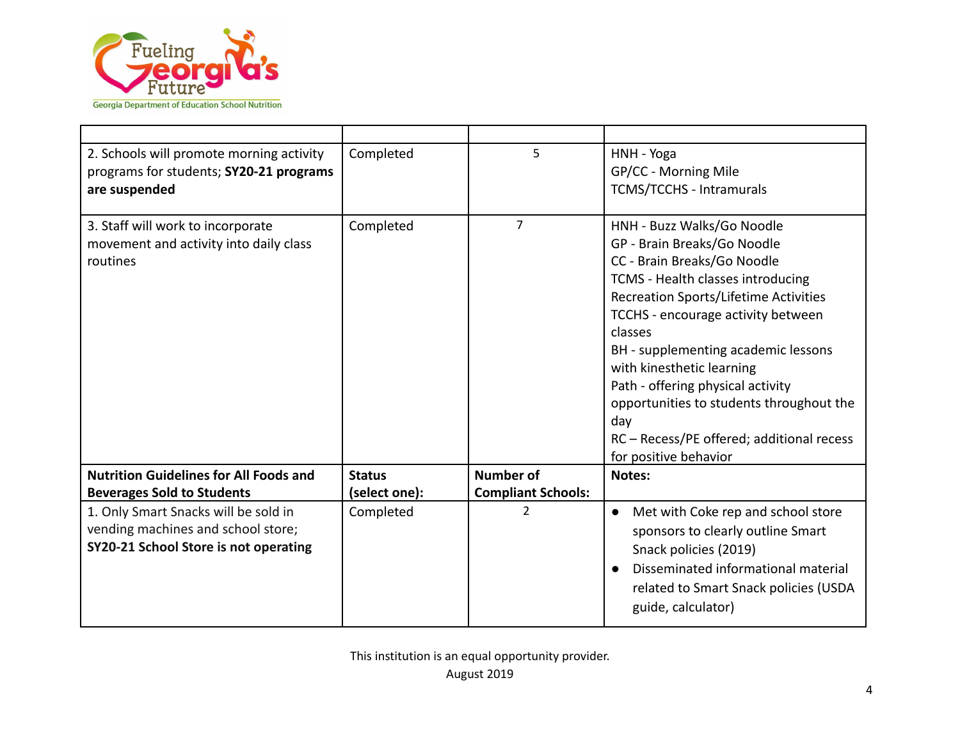

| 2. Schools will promote morning activity<br>programs for students; SY20-21 programs<br>are suspended                | Completed                      | 5                                             | HNH - Yoga<br>GP/CC - Morning Mile<br><b>TCMS/TCCHS - Intramurals</b>                                                                                                                                                                                                                                                                                                                                                                                     |
|---------------------------------------------------------------------------------------------------------------------|--------------------------------|-----------------------------------------------|-----------------------------------------------------------------------------------------------------------------------------------------------------------------------------------------------------------------------------------------------------------------------------------------------------------------------------------------------------------------------------------------------------------------------------------------------------------|
| 3. Staff will work to incorporate<br>movement and activity into daily class<br>routines                             | Completed                      | $\overline{7}$                                | HNH - Buzz Walks/Go Noodle<br>GP - Brain Breaks/Go Noodle<br>CC - Brain Breaks/Go Noodle<br>TCMS - Health classes introducing<br>Recreation Sports/Lifetime Activities<br>TCCHS - encourage activity between<br>classes<br>BH - supplementing academic lessons<br>with kinesthetic learning<br>Path - offering physical activity<br>opportunities to students throughout the<br>day<br>RC - Recess/PE offered; additional recess<br>for positive behavior |
| <b>Nutrition Guidelines for All Foods and</b><br><b>Beverages Sold to Students</b>                                  | <b>Status</b><br>(select one): | <b>Number of</b><br><b>Compliant Schools:</b> | Notes:                                                                                                                                                                                                                                                                                                                                                                                                                                                    |
| 1. Only Smart Snacks will be sold in<br>vending machines and school store;<br>SY20-21 School Store is not operating | Completed                      | $\overline{2}$                                | Met with Coke rep and school store<br>$\bullet$<br>sponsors to clearly outline Smart<br>Snack policies (2019)<br>Disseminated informational material<br>related to Smart Snack policies (USDA<br>guide, calculator)                                                                                                                                                                                                                                       |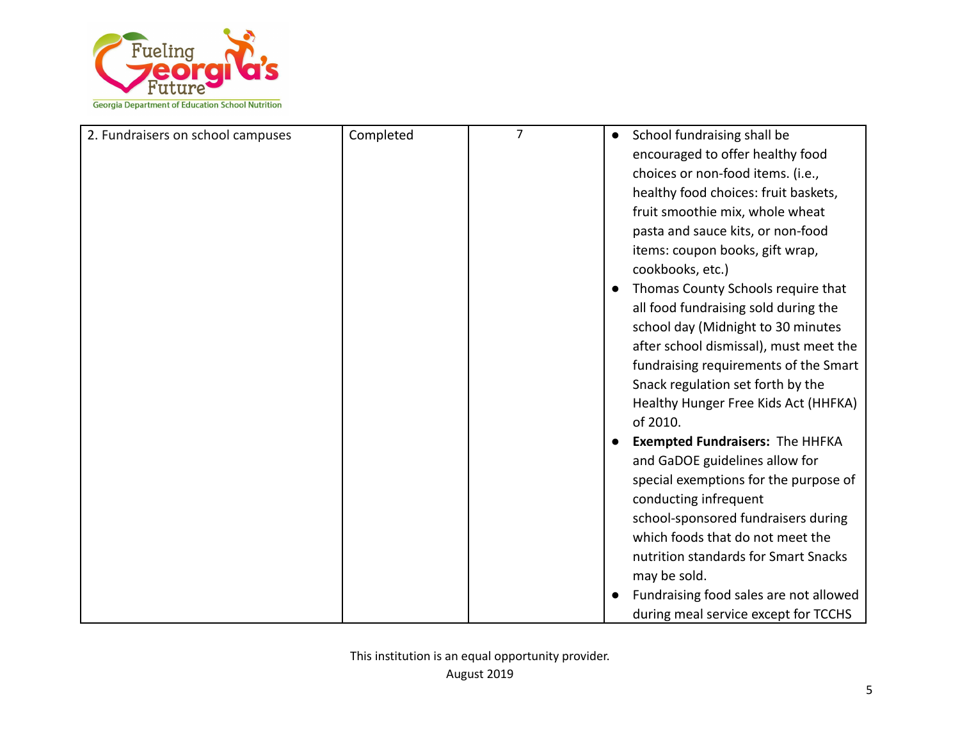

| 2. Fundraisers on school campuses | Completed | $\overline{7}$ | School fundraising shall be<br>$\bullet$ |
|-----------------------------------|-----------|----------------|------------------------------------------|
|                                   |           |                |                                          |
|                                   |           |                | encouraged to offer healthy food         |
|                                   |           |                | choices or non-food items. (i.e.,        |
|                                   |           |                | healthy food choices: fruit baskets,     |
|                                   |           |                | fruit smoothie mix, whole wheat          |
|                                   |           |                | pasta and sauce kits, or non-food        |
|                                   |           |                | items: coupon books, gift wrap,          |
|                                   |           |                | cookbooks, etc.)                         |
|                                   |           |                | Thomas County Schools require that       |
|                                   |           |                | all food fundraising sold during the     |
|                                   |           |                | school day (Midnight to 30 minutes       |
|                                   |           |                | after school dismissal), must meet the   |
|                                   |           |                | fundraising requirements of the Smart    |
|                                   |           |                | Snack regulation set forth by the        |
|                                   |           |                | Healthy Hunger Free Kids Act (HHFKA)     |
|                                   |           |                | of 2010.                                 |
|                                   |           |                | <b>Exempted Fundraisers: The HHFKA</b>   |
|                                   |           |                | and GaDOE guidelines allow for           |
|                                   |           |                | special exemptions for the purpose of    |
|                                   |           |                | conducting infrequent                    |
|                                   |           |                | school-sponsored fundraisers during      |
|                                   |           |                | which foods that do not meet the         |
|                                   |           |                | nutrition standards for Smart Snacks     |
|                                   |           |                | may be sold.                             |
|                                   |           |                | Fundraising food sales are not allowed   |
|                                   |           |                | during meal service except for TCCHS     |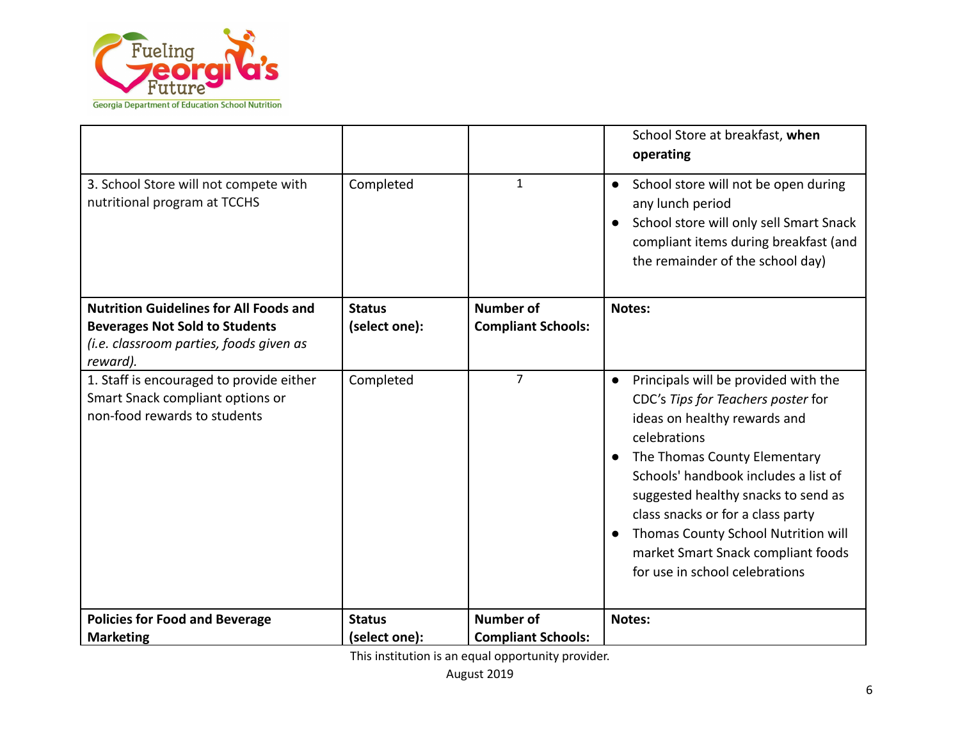

|                                                                                                                                   |                                |                                               | School Store at breakfast, when<br>operating                                                                                                                                                                                                                                                                                                                                                  |
|-----------------------------------------------------------------------------------------------------------------------------------|--------------------------------|-----------------------------------------------|-----------------------------------------------------------------------------------------------------------------------------------------------------------------------------------------------------------------------------------------------------------------------------------------------------------------------------------------------------------------------------------------------|
| 3. School Store will not compete with<br>nutritional program at TCCHS                                                             | Completed                      | $\mathbf{1}$                                  | School store will not be open during<br>$\bullet$<br>any lunch period<br>School store will only sell Smart Snack<br>compliant items during breakfast (and<br>the remainder of the school day)                                                                                                                                                                                                 |
| <b>Nutrition Guidelines for All Foods and</b><br><b>Beverages Not Sold to Students</b><br>(i.e. classroom parties, foods given as | <b>Status</b><br>(select one): | <b>Number of</b><br><b>Compliant Schools:</b> | Notes:                                                                                                                                                                                                                                                                                                                                                                                        |
| reward).<br>1. Staff is encouraged to provide either<br>Smart Snack compliant options or<br>non-food rewards to students          | Completed                      | $\overline{7}$                                | Principals will be provided with the<br>CDC's Tips for Teachers poster for<br>ideas on healthy rewards and<br>celebrations<br>The Thomas County Elementary<br>Schools' handbook includes a list of<br>suggested healthy snacks to send as<br>class snacks or for a class party<br>Thomas County School Nutrition will<br>market Smart Snack compliant foods<br>for use in school celebrations |
| <b>Policies for Food and Beverage</b>                                                                                             | <b>Status</b>                  | <b>Number of</b>                              | Notes:                                                                                                                                                                                                                                                                                                                                                                                        |
| <b>Marketing</b>                                                                                                                  | (select one):                  | <b>Compliant Schools:</b>                     |                                                                                                                                                                                                                                                                                                                                                                                               |

This institution is an equal opportunity provider.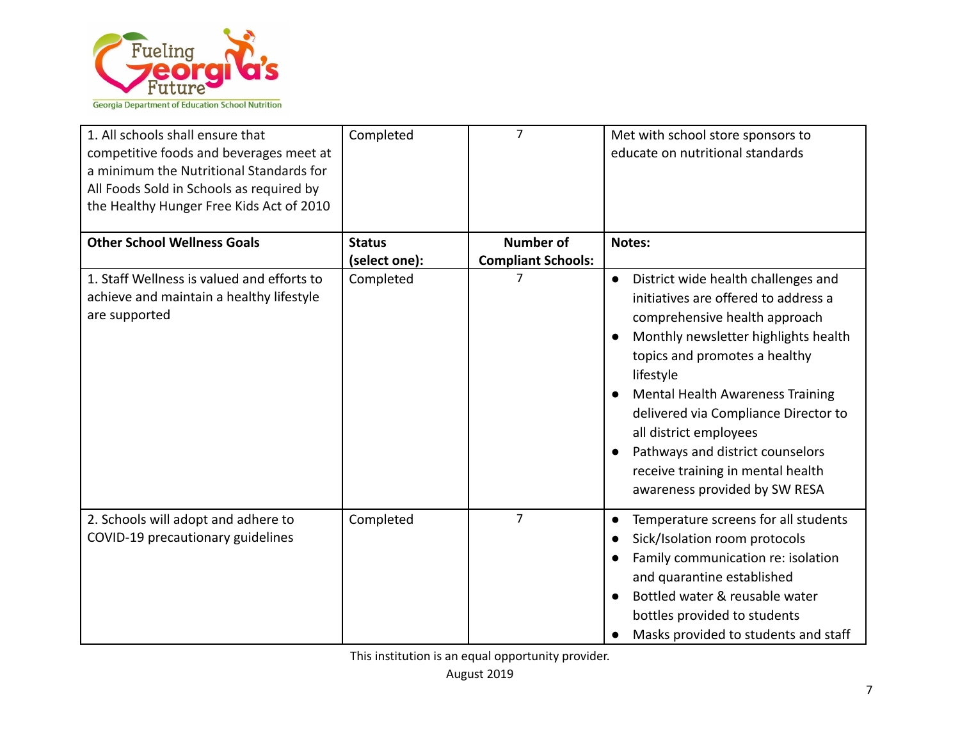

| 1. All schools shall ensure that<br>competitive foods and beverages meet at<br>a minimum the Nutritional Standards for<br>All Foods Sold in Schools as required by<br>the Healthy Hunger Free Kids Act of 2010 | Completed                      | $\overline{7}$                                | Met with school store sponsors to<br>educate on nutritional standards                                                                                                                                                                                                                                                                                                                                                                  |
|----------------------------------------------------------------------------------------------------------------------------------------------------------------------------------------------------------------|--------------------------------|-----------------------------------------------|----------------------------------------------------------------------------------------------------------------------------------------------------------------------------------------------------------------------------------------------------------------------------------------------------------------------------------------------------------------------------------------------------------------------------------------|
| <b>Other School Wellness Goals</b>                                                                                                                                                                             | <b>Status</b><br>(select one): | <b>Number of</b><br><b>Compliant Schools:</b> | Notes:                                                                                                                                                                                                                                                                                                                                                                                                                                 |
| 1. Staff Wellness is valued and efforts to<br>achieve and maintain a healthy lifestyle<br>are supported                                                                                                        | Completed                      | 7                                             | District wide health challenges and<br>$\bullet$<br>initiatives are offered to address a<br>comprehensive health approach<br>Monthly newsletter highlights health<br>topics and promotes a healthy<br>lifestyle<br><b>Mental Health Awareness Training</b><br>delivered via Compliance Director to<br>all district employees<br>Pathways and district counselors<br>receive training in mental health<br>awareness provided by SW RESA |
| 2. Schools will adopt and adhere to<br>COVID-19 precautionary guidelines                                                                                                                                       | Completed                      | $\overline{7}$                                | Temperature screens for all students<br>Sick/Isolation room protocols<br>Family communication re: isolation<br>and quarantine established<br>Bottled water & reusable water<br>bottles provided to students<br>Masks provided to students and staff                                                                                                                                                                                    |

This institution is an equal opportunity provider.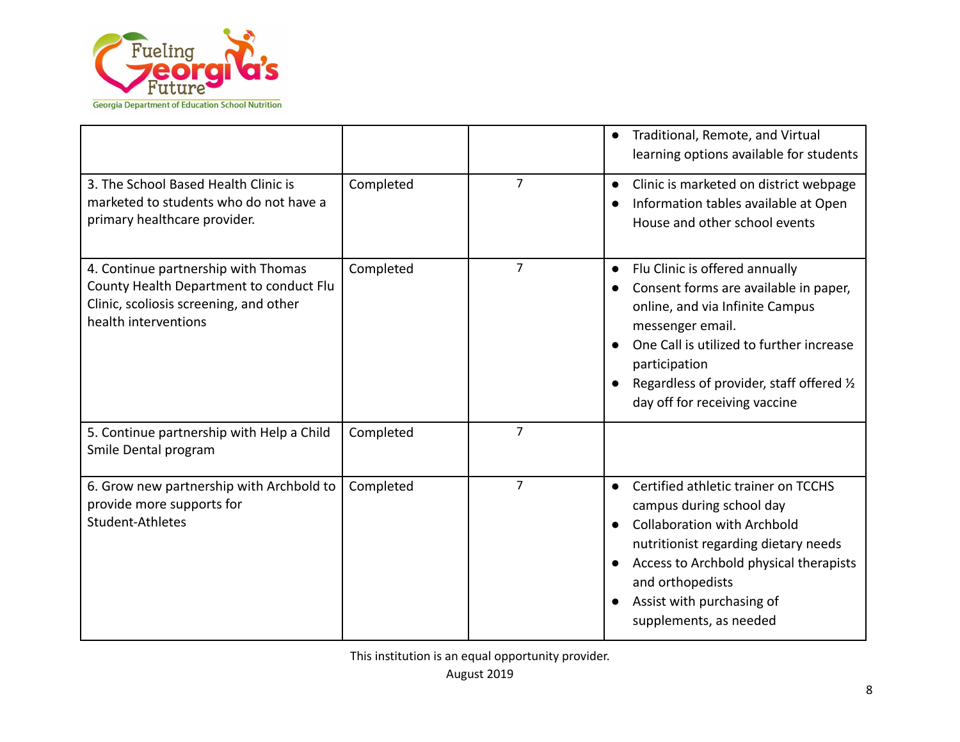

|                                                                                                                                                  |           |                | Traditional, Remote, and Virtual<br>$\bullet$<br>learning options available for students                                                                                                                                                                                               |
|--------------------------------------------------------------------------------------------------------------------------------------------------|-----------|----------------|----------------------------------------------------------------------------------------------------------------------------------------------------------------------------------------------------------------------------------------------------------------------------------------|
| 3. The School Based Health Clinic is<br>marketed to students who do not have a<br>primary healthcare provider.                                   | Completed | $\overline{7}$ | Clinic is marketed on district webpage<br>$\bullet$<br>Information tables available at Open<br>House and other school events                                                                                                                                                           |
| 4. Continue partnership with Thomas<br>County Health Department to conduct Flu<br>Clinic, scoliosis screening, and other<br>health interventions | Completed | $\overline{7}$ | Flu Clinic is offered annually<br>$\bullet$<br>Consent forms are available in paper,<br>online, and via Infinite Campus<br>messenger email.<br>One Call is utilized to further increase<br>participation<br>Regardless of provider, staff offered 1/2<br>day off for receiving vaccine |
| 5. Continue partnership with Help a Child<br>Smile Dental program                                                                                | Completed | $\overline{7}$ |                                                                                                                                                                                                                                                                                        |
| 6. Grow new partnership with Archbold to<br>provide more supports for<br>Student-Athletes                                                        | Completed | $\overline{7}$ | Certified athletic trainer on TCCHS<br>campus during school day<br><b>Collaboration with Archbold</b><br>$\bullet$<br>nutritionist regarding dietary needs<br>Access to Archbold physical therapists<br>and orthopedists<br>Assist with purchasing of<br>supplements, as needed        |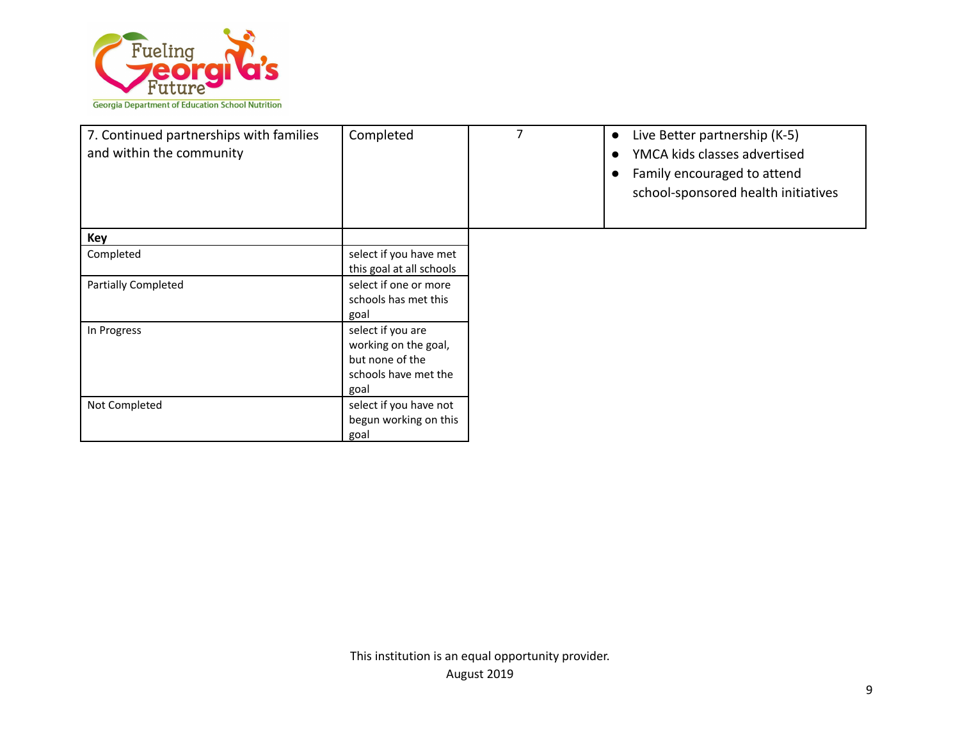

| 7. Continued partnerships with families<br>and within the community | Completed                                                                                    | 7 | Live Better partnership (K-5)<br>$\bullet$<br>YMCA kids classes advertised<br>Family encouraged to attend<br>school-sponsored health initiatives |
|---------------------------------------------------------------------|----------------------------------------------------------------------------------------------|---|--------------------------------------------------------------------------------------------------------------------------------------------------|
| Key                                                                 |                                                                                              |   |                                                                                                                                                  |
| Completed                                                           | select if you have met<br>this goal at all schools                                           |   |                                                                                                                                                  |
| <b>Partially Completed</b>                                          | select if one or more<br>schools has met this<br>goal                                        |   |                                                                                                                                                  |
| In Progress                                                         | select if you are<br>working on the goal,<br>but none of the<br>schools have met the<br>goal |   |                                                                                                                                                  |
| Not Completed                                                       | select if you have not<br>begun working on this<br>goal                                      |   |                                                                                                                                                  |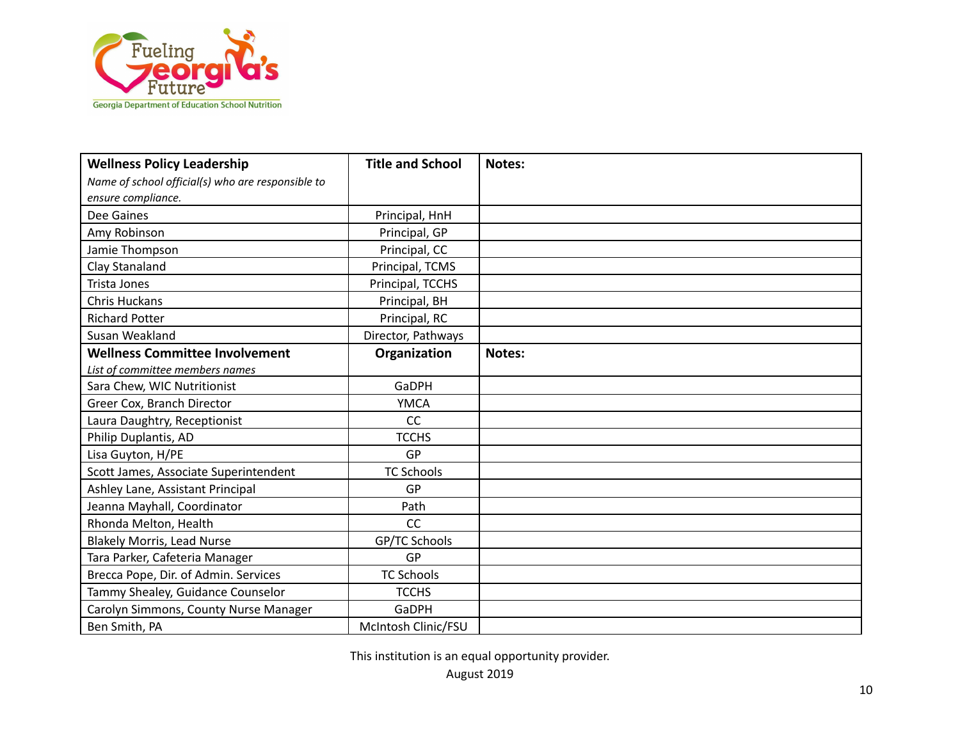

| <b>Wellness Policy Leadership</b>                 | <b>Title and School</b> | Notes: |
|---------------------------------------------------|-------------------------|--------|
| Name of school official(s) who are responsible to |                         |        |
| ensure compliance.                                |                         |        |
| Dee Gaines                                        | Principal, HnH          |        |
| Amy Robinson                                      | Principal, GP           |        |
| Jamie Thompson                                    | Principal, CC           |        |
| Clay Stanaland                                    | Principal, TCMS         |        |
| Trista Jones                                      | Principal, TCCHS        |        |
| <b>Chris Huckans</b>                              | Principal, BH           |        |
| <b>Richard Potter</b>                             | Principal, RC           |        |
| Susan Weakland                                    | Director, Pathways      |        |
| <b>Wellness Committee Involvement</b>             | Organization            | Notes: |
| List of committee members names                   |                         |        |
| Sara Chew, WIC Nutritionist                       | <b>GaDPH</b>            |        |
| Greer Cox, Branch Director                        | <b>YMCA</b>             |        |
| Laura Daughtry, Receptionist                      | <b>CC</b>               |        |
| Philip Duplantis, AD                              | <b>TCCHS</b>            |        |
| Lisa Guyton, H/PE                                 | GP                      |        |
| Scott James, Associate Superintendent             | <b>TC Schools</b>       |        |
| Ashley Lane, Assistant Principal                  | GP                      |        |
| Jeanna Mayhall, Coordinator                       | Path                    |        |
| Rhonda Melton, Health                             | CC                      |        |
| <b>Blakely Morris, Lead Nurse</b>                 | GP/TC Schools           |        |
| Tara Parker, Cafeteria Manager                    | GP                      |        |
| Brecca Pope, Dir. of Admin. Services              | <b>TC Schools</b>       |        |
| Tammy Shealey, Guidance Counselor                 | <b>TCCHS</b>            |        |
| Carolyn Simmons, County Nurse Manager             | GaDPH                   |        |
| Ben Smith, PA                                     | McIntosh Clinic/FSU     |        |

This institution is an equal opportunity provider.